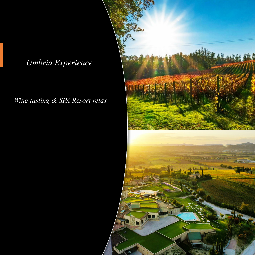## *Umbria Experience*

## *Wine tasting & SPA Resort relax*

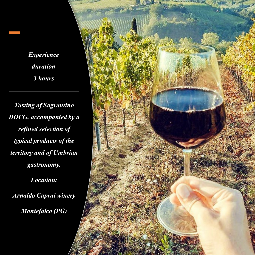*Experience duration 3 hours*

*Tasting of Sagrantino DOCG, accompanied by a refined selection of typical products of the territory and of Umbrian gastronomy.*

*Location: Arnaldo Caprai winery Montefalco (PG)*

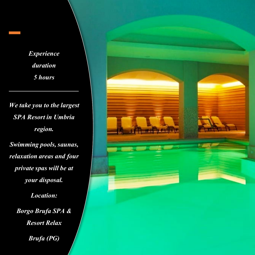*Experience duration 5 hours*

*We take you to the largest SPA Resort in Umbria region. Swimming pools, saunas, relaxation areas and four private spas will be at your disposal. Location: Borgo Brufa SPA &* 

*Resort Relax*

*Brufa (PG)*

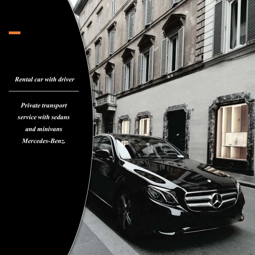*Rental car with driver*

*Private transport service with sedans and minivans Mercedes-Benz.*

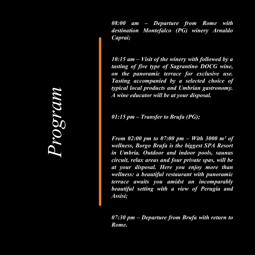*08:00 am – Departure from Rome with destination Montefalco (PG) winery Arnaldo Caprai;*

*10:15 am – Visit of the winery with followed by a tasting of five type of Sagrantino DOCG wine, on the panoramic terrace for exclusive use. Tasting accompanied by a selected choice of typical local products and Umbrian gastronomy. A wine educator will be at your disposal.*

*01:15 pm – Transfer to Brufa (PG);*

*From 02:00 pm to 07:00 pm – With 3000 m² of wellness, Borgo Brufa is the biggest SPA Resort in Umbria. Outdoor and indoor pools, saunas circuit, relax areas and four private spas, will be at your disposal. Here you enjoy more than wellness: a beautiful restaurant with panoramic terrace awaits you amidst an incomparably beautiful setting with a view of Perugia and Assisi;*

*07:30 pm – Departure from Brufa with return to Rome.*

*Program*